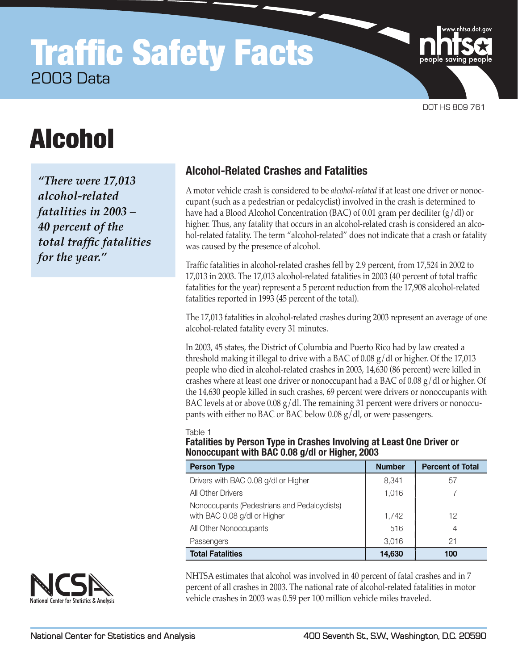## **Traffic Safety Facts** 2003 Data

DOT HS 809 761

# Alcohol

*"There were 17,013 alcohol-related fatalities in 2003 – 40 percent of the*   $total$  traffic fatalities *for the year."*

## **Alcohol-Related Crashes and Fatalities**

A motor vehicle crash is considered to be *alcohol-related* if at least one driver or nonoccupant (such as a pedestrian or pedalcyclist) involved in the crash is determined to have had a Blood Alcohol Concentration (BAC) of 0.01 gram per deciliter (g/dl) or higher. Thus, any fatality that occurs in an alcohol-related crash is considered an alcohol-related fatality. The term "alcohol-related" does not indicate that a crash or fatality was caused by the presence of alcohol.

Traffic fatalities in alcohol-related crashes fell by 2.9 percent, from 17,524 in 2002 to 17,013 in 2003. The 17,013 alcohol-related fatalities in 2003 (40 percent of total traffic fatalities for the year) represent a 5 percent reduction from the 17,908 alcohol-related fatalities reported in 1993 (45 percent of the total).

The 17,013 fatalities in alcohol-related crashes during 2003 represent an average of one alcohol-related fatality every 31 minutes.

In 2003, 45 states, the District of Columbia and Puerto Rico had by law created a threshold making it illegal to drive with a BAC of  $0.08 \text{ g}/\text{d}$  or higher. Of the 17,013 people who died in alcohol-related crashes in 2003, 14,630 (86 percent) were killed in crashes where at least one driver or nonoccupant had a BAC of  $0.08 \text{ g}/\text{d}$  or higher. Of the 14,630 people killed in such crashes, 69 percent were drivers or nonoccupants with BAC levels at or above  $0.08 \text{ g}/\text{d}$ . The remaining 31 percent were drivers or nonoccupants with either no BAC or BAC below 0.08 g/dl, or were passengers.

#### Table 1

**Fatalities by Person Type in Crashes Involving at Least One Driver or Nonoccupant with BAC 0.08 g/dl or Higher, 2003**

| <b>Person Type</b>                                                           | <b>Number</b> | <b>Percent of Total</b> |
|------------------------------------------------------------------------------|---------------|-------------------------|
| Drivers with BAC 0.08 g/dl or Higher                                         | 8,341         | 57                      |
| All Other Drivers                                                            | 1,016         |                         |
| Nonoccupants (Pedestrians and Pedalcyclists)<br>with BAC 0.08 g/dl or Higher | 1,742         | 12                      |
| All Other Nonoccupants                                                       | 516           | 4                       |
| Passengers                                                                   | 3,016         | 21                      |
| <b>Total Fatalities</b>                                                      | 14,630        | 100                     |

NHTSA estimates that alcohol was involved in 40 percent of fatal crashes and in 7 percent of all crashes in 2003. The national rate of alcohol-related fatalities in motor vehicle crashes in 2003 was 0.59 per 100 million vehicle miles traveled.

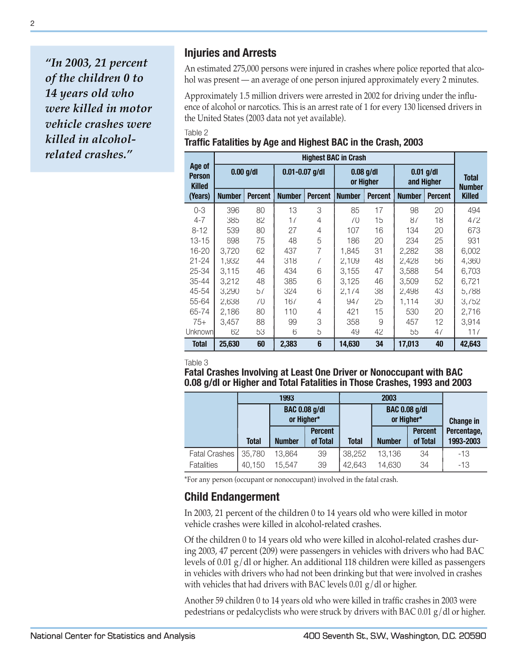*"In 2003, 21 percent of the children 0 to 14 years old who were killed in motor vehicle crashes were killed in alcoholrelated crashes."*

## **Injuries and Arrests**

An estimated 275,000 persons were injured in crashes where police reported that alcohol was present — an average of one person injured approximately every 2 minutes.

Approximately 1.5 million drivers were arrested in 2002 for driving under the influence of alcohol or narcotics. This is an arrest rate of 1 for every 130 licensed drivers in the United States (2003 data not yet available).

Table 2

## **Traffic Fatalities by Age and Highest BAC in the Crash, 2003**

|                                          | <b>Highest BAC in Crash</b> |                |                    |                |               |                          |                           |                               |               |  |  |
|------------------------------------------|-----------------------------|----------------|--------------------|----------------|---------------|--------------------------|---------------------------|-------------------------------|---------------|--|--|
| Age of<br><b>Person</b><br><b>Killed</b> | $0.00$ g/dl                 |                | $0.01 - 0.07$ g/dl |                |               | $0.08$ g/dl<br>or Higher | $0.01$ g/dl<br>and Higher | <b>Total</b><br><b>Number</b> |               |  |  |
| (Years)                                  | <b>Number</b>               | <b>Percent</b> | <b>Number</b>      | <b>Percent</b> | <b>Number</b> | <b>Percent</b>           | <b>Number</b>             | <b>Percent</b>                | <b>Killed</b> |  |  |
| $0 - 3$                                  | 396                         | 80             | 13                 | 3              | 85            | 17                       | 98                        | 20                            | 494           |  |  |
| $4 - 7$                                  | 385                         | 82             | 17                 | 4              | 70            | 15                       | 87                        | 18                            | 472           |  |  |
| $8 - 12$                                 | 539                         | 80             | 27                 | 4              | 107           | 16                       | 134                       | 20                            | 673           |  |  |
| $13 - 15$                                | 698                         | 75             | 48                 | 5              | 186           | 20                       | 234                       | 25                            | 931           |  |  |
| 16-20                                    | 3,720                       | 62             | 437                | 7              | 1.845         | 31                       | 2,282                     | 38                            | 6,002         |  |  |
| $21 - 24$                                | 1,932                       | 44             | 318                | 7              | 2.109         | 48                       | 2.428                     | 56                            | 4,360         |  |  |
| 25-34                                    | 3.115                       | 46             | 434                | 6              | 3.155         | 47                       | 3,588                     | 54                            | 6.703         |  |  |
| 35-44                                    | 3.212                       | 48             | 385                | 6              | 3.125         | 46                       | 3.509                     | 52                            | 6.721         |  |  |
| 45-54                                    | 3,290                       | 57             | 324                | 6              | 2.174         | 38                       | 2,498                     | 43                            | 5.788         |  |  |
| 55-64                                    | 2,638                       | 70             | 167                | 4              | 947           | 25                       | 1,114                     | 30                            | 3,752         |  |  |
| 65-74                                    | 2,186                       | 80             | 110                | 4              | 421           | 15                       | 530                       | 20                            | 2,716         |  |  |
| $75+$                                    | 3.457                       | 88             | 99                 | 3              | 358           | 9                        | 457                       | 12                            | 3.914         |  |  |
| <b>Unknown</b>                           | 62                          | 53             | 6                  | 5              | 49            | 42                       | 55                        | 47                            | 117           |  |  |
| <b>Total</b>                             | 25.630                      | 60             | 2.383              | 6              | 14,630        | 34                       | 17,013                    | 40                            | 42,643        |  |  |

Table 3

**Fatal Crashes Involving at Least One Driver or Nonoccupant with BAC 0.08 g/dl or Higher and Total Fatalities in Those Crashes, 1993 and 2003**

|                      |              | 1993                               |                            |        |                                    |                            |                          |
|----------------------|--------------|------------------------------------|----------------------------|--------|------------------------------------|----------------------------|--------------------------|
|                      |              | <b>BAC 0.08 g/dl</b><br>or Higher* |                            |        | <b>BAC 0.08 g/dl</b><br>or Higher* |                            | <b>Change in</b>         |
|                      | <b>Total</b> | <b>Number</b>                      | <b>Percent</b><br>of Total | Total  | <b>Number</b>                      | <b>Percent</b><br>of Total | Percentage,<br>1993-2003 |
| <b>Fatal Crashes</b> | 35,780       | 13,864                             | 39                         | 38,252 | 13,136                             | 34                         | $-13$                    |
| <b>Fatalities</b>    | 40,150       | 15,547                             | 39                         | 42,643 | 14,630                             | 34                         | -13                      |

\*For any person (occupant or nonoccupant) involved in the fatal crash.

## **Child Endangerment**

In 2003, 21 percent of the children 0 to 14 years old who were killed in motor vehicle crashes were killed in alcohol-related crashes.

Of the children 0 to 14 years old who were killed in alcohol-related crashes during 2003, 47 percent (209) were passengers in vehicles with drivers who had BAC levels of 0.01 g/dl or higher. An additional 118 children were killed as passengers in vehicles with drivers who had not been drinking but that were involved in crashes with vehicles that had drivers with BAC levels  $0.01$  g/dl or higher.

Another 59 children 0 to 14 years old who were killed in traffic crashes in 2003 were pedestrians or pedalcyclists who were struck by drivers with BAC 0.01 g/dl or higher.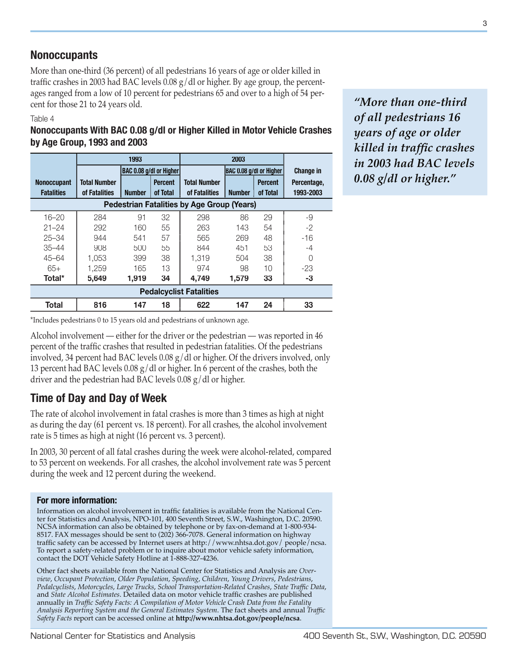## **Nonoccupants**

More than one-third (36 percent) of all pedestrians 16 years of age or older killed in traffic crashes in 2003 had BAC levels  $0.08$  g/dl or higher. By age group, the percentages ranged from a low of 10 percent for pedestrians 65 and over to a high of 54 percent for those 21 to 24 years old.

#### Table 4

## **Nonoccupants With BAC 0.08 g/dl or Higher Killed in Motor Vehicle Crashes by Age Group, 1993 and 2003**

|                                                   | 1993                |                                |                |                                |                         |                |                  |  |  |  |  |
|---------------------------------------------------|---------------------|--------------------------------|----------------|--------------------------------|-------------------------|----------------|------------------|--|--|--|--|
|                                                   |                     | <b>BAC 0.08 g/dl or Higher</b> |                |                                | BAC 0.08 g/dl or Higher |                | <b>Change in</b> |  |  |  |  |
| <b>Nonoccupant</b>                                | <b>Total Number</b> |                                | <b>Percent</b> | <b>Total Number</b>            |                         | <b>Percent</b> | Percentage,      |  |  |  |  |
| <b>Fatalities</b>                                 | of Fatalities       | <b>Number</b>                  | of Total       | of Fatalities                  | <b>Number</b>           | of Total       | 1993-2003        |  |  |  |  |
| <b>Pedestrian Fatalities by Age Group (Years)</b> |                     |                                |                |                                |                         |                |                  |  |  |  |  |
| $16 - 20$                                         | 284                 | 91                             | 32             | 298                            | 86                      | 29             | -9               |  |  |  |  |
| $21 - 24$                                         | 292                 | 160                            | 55             | 263                            | 143                     | 54             | $-2$             |  |  |  |  |
| $25 - 34$                                         | 944                 | 541                            | 57             | 565                            | 269                     | 48             | $-16$            |  |  |  |  |
| $35 - 44$                                         | 908                 | 500                            | 55             | 844                            | 451                     | 53             | -4               |  |  |  |  |
| $45 - 64$                                         | 1.053               | 399                            | 38             | 1,319                          | 504                     | 38             | 0                |  |  |  |  |
| $65+$                                             | 1.259               | 165                            | 13             | 974                            | 98                      | 10             | $-23$            |  |  |  |  |
| Total*                                            | 5,649               | 1,919                          | 34             | 4,749                          | 1,579                   | 33             | -3               |  |  |  |  |
|                                                   |                     |                                |                | <b>Pedalcyclist Fatalities</b> |                         |                |                  |  |  |  |  |
| <b>Total</b>                                      | 816                 | 147                            | 18             | 622                            | 147                     | 24             | 33               |  |  |  |  |

\*Includes pedestrians 0 to 15 years old and pedestrians of unknown age.

Alcohol involvement — either for the driver or the pedestrian — was reported in 46 percent of the traffic crashes that resulted in pedestrian fatalities. Of the pedestrians involved, 34 percent had BAC levels 0.08 g/dl or higher. Of the drivers involved, only 13 percent had BAC levels  $0.08 \text{ g/d}$  or higher. In 6 percent of the crashes, both the driver and the pedestrian had BAC levels 0.08 g/dl or higher.

## **Time of Day and Day of Week**

The rate of alcohol involvement in fatal crashes is more than 3 times as high at night as during the day (61 percent vs. 18 percent). For all crashes, the alcohol involvement rate is 5 times as high at night (16 percent vs. 3 percent).

In 2003, 30 percent of all fatal crashes during the week were alcohol-related, compared to 53 percent on weekends. For all crashes, the alcohol involvement rate was 5 percent during the week and 12 percent during the weekend.

#### **For more information:**

Information on alcohol involvement in traffic fatalities is available from the National Center for Statistics and Analysis, NPO-101, 400 Seventh Street, S.W., Washington, D.C. 20590. NCSA information can also be obtained by telephone or by fax-on-demand at 1-800-934- 8517. FAX messages should be sent to (202) 366-7078. General information on highway traffic safety can be accessed by Internet users at http://www.nhtsa.dot.gov/ people/ncsa. To report a safety-related problem or to inquire about motor vehicle safety information, contact the DOT Vehicle Safety Hotline at 1-888-327-4236.

Other fact sheets available from the National Center for Statistics and Analysis are *Overview*, *Occupant Protection*, *Older Population*, *Speeding*, *Children*, *Young Drivers*, *Pedestrians*, *Pedalcyclists*, *Motorcycles*, *Large Trucks*, *School Transportation-Related Crashes*, *State Traffi c Data*, and *State Alcohol Estimates*. Detailed data on motor vehicle traffic crashes are published annually in *Traffic Safety Facts: A Compilation of Motor Vehicle Crash Data from the Fatality Analysis Reporting System and the General Estimates System*. The fact sheets and annual *Traffi c Safety Facts* report can be accessed online at **http://www.nhtsa.dot.gov/people/ncsa**.

*"More than one-third of all pedestrians 16 years of age or older*   $killed$  *in traffic crashes in 2003 had BAC levels 0.08 g/dl or higher."*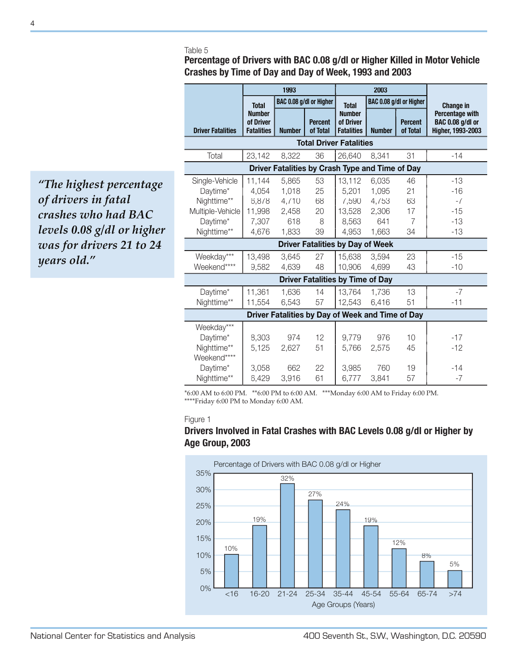#### Table 5

**Percentage of Drivers with BAC 0.08 g/dl or Higher Killed in Motor Vehicle Crashes by Time of Day and Day of Week, 1993 and 2003**

|                                                                                          |                                                      | 1993                                             |                                                                            | 2003                                                 |                                                  |                                 |                                                                 |  |  |  |  |
|------------------------------------------------------------------------------------------|------------------------------------------------------|--------------------------------------------------|----------------------------------------------------------------------------|------------------------------------------------------|--------------------------------------------------|---------------------------------|-----------------------------------------------------------------|--|--|--|--|
|                                                                                          | <b>Total</b>                                         |                                                  | BAC 0.08 g/dl or Higher                                                    |                                                      | BAC 0.08 g/dl or Higher<br><b>Total</b>          |                                 | <b>Change in</b>                                                |  |  |  |  |
| <b>Driver Fatalities</b>                                                                 | <b>Number</b><br>of Driver<br><b>Fatalities</b>      | <b>Percent</b><br>of Total<br><b>Number</b>      |                                                                            | <b>Number</b><br>of Driver<br><b>Fatalities</b>      | <b>Percent</b><br>of Total<br><b>Number</b>      |                                 | Percentage with<br><b>BAC 0.08 g/dl or</b><br>Higher, 1993-2003 |  |  |  |  |
|                                                                                          |                                                      |                                                  |                                                                            |                                                      |                                                  |                                 |                                                                 |  |  |  |  |
| Total                                                                                    | 23,142                                               | 8,322                                            | 36                                                                         | 26,640                                               | 8,341                                            | 31                              | $-14$                                                           |  |  |  |  |
| Driver Fatalities by Crash Type and Time of Day                                          |                                                      |                                                  |                                                                            |                                                      |                                                  |                                 |                                                                 |  |  |  |  |
| Single-Vehicle<br>Daytime*<br>Nighttime**<br>Multiple-Vehicle<br>Daytime*<br>Nighttime** | 11,144<br>4,054<br>6,878<br>11,998<br>7,307<br>4,676 | 5,865<br>1,018<br>4,710<br>2,458<br>618<br>1,833 | 53<br>25<br>68<br>20<br>8<br>39<br><b>Driver Fatalities by Day of Week</b> | 13,112<br>5,201<br>7,590<br>13,528<br>8,563<br>4,953 | 6,035<br>1,095<br>4,753<br>2,306<br>641<br>1,663 | 46<br>21<br>63<br>17<br>7<br>34 | $-13$<br>$-16$<br>$-7$<br>$-15$<br>$-13$<br>$-13$               |  |  |  |  |
| Weekday***<br>Weekend****                                                                | 13,498<br>9,582                                      | 3,645<br>4,639                                   | 27<br>48                                                                   | 15,638<br>10,906                                     | 3,594<br>4,699                                   | 23<br>43                        | $-15$<br>$-10$                                                  |  |  |  |  |
|                                                                                          |                                                      |                                                  | <b>Driver Fatalities by Time of Day</b>                                    |                                                      |                                                  |                                 |                                                                 |  |  |  |  |
| Daytime*<br>Nighttime**                                                                  | 11,361<br>11,554                                     | 1,636<br>6,543                                   | 14<br>57                                                                   | 13,764<br>12,543                                     | 1,736<br>6,416                                   | 13<br>51                        | $-7$<br>$-11$                                                   |  |  |  |  |
|                                                                                          |                                                      |                                                  | Driver Fatalities by Day of Week and Time of Day                           |                                                      |                                                  |                                 |                                                                 |  |  |  |  |
| Weekday***<br>Daytime*<br>Nighttime**<br>Weekend****                                     | 8,303<br>5,125                                       | 974<br>2,627                                     | 12<br>51                                                                   | 9,779<br>5,766                                       | 976<br>2,575                                     | 10<br>45                        | $-17$<br>$-12$                                                  |  |  |  |  |
| Daytime*<br>Nighttime**                                                                  | 3.058<br>6,429                                       | 662<br>3,916                                     | 22<br>61                                                                   | 3.985<br>6,777                                       | 760<br>3,841                                     | 19<br>57                        | $-14$<br>$-7$                                                   |  |  |  |  |

\*6:00 AM to 6:00 PM. \*\*6:00 PM to 6:00 AM. \*\*\*Monday 6:00 AM to Friday 6:00 PM. \*\*\*\*Friday 6:00 PM to Monday 6:00 AM.

#### Figure 1

#### **Drivers Involved in Fatal Crashes with BAC Levels 0.08 g/dl or Higher by Age Group, 2003**



*"The highest percentage of drivers in fatal crashes who had BAC levels 0.08 g/dl or higher was for drivers 21 to 24 years old."*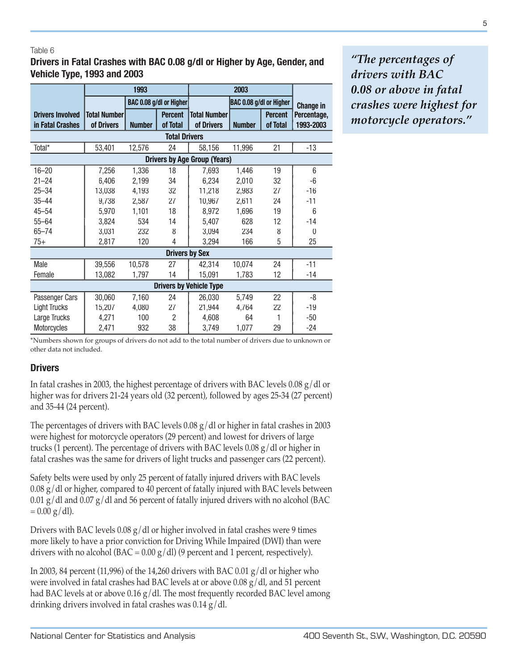#### Table 6

**Drivers in Fatal Crashes with BAC 0.08 g/dl or Higher by Age, Gender, and Vehicle Type, 1993 and 2003**

|                                     |                     | 1993          |                         |                     |                         |                |                  |  |  |  |  |
|-------------------------------------|---------------------|---------------|-------------------------|---------------------|-------------------------|----------------|------------------|--|--|--|--|
|                                     |                     |               | BAC 0.08 g/dl or Higher |                     | BAC 0.08 g/dl or Higher |                | <b>Change in</b> |  |  |  |  |
| <b>Drivers Involved</b>             | <b>Total Number</b> |               | <b>Percent</b>          | <b>Total Number</b> |                         | <b>Percent</b> | Percentage,      |  |  |  |  |
| in Fatal Crashes                    | of Drivers          | <b>Number</b> | of Total                | of Drivers          | <b>Number</b>           | of Total       | 1993-2003        |  |  |  |  |
| <b>Total Drivers</b>                |                     |               |                         |                     |                         |                |                  |  |  |  |  |
| Total*                              | 53,401              | 12,576        | 24                      | 58,156              | 11,996                  | 21             | $-13$            |  |  |  |  |
| <b>Drivers by Age Group (Years)</b> |                     |               |                         |                     |                         |                |                  |  |  |  |  |
| $16 - 20$                           | 7,256               | 1,336         | 18                      | 7,693               | 1,446                   | 19             | 6                |  |  |  |  |
| $21 - 24$                           | 6,406               | 2,199         | 34                      | 6,234               | 2,010                   | 32             | -6               |  |  |  |  |
| $25 - 34$                           | 13,038              | 4,193         | 32                      | 11,218              | 2,983                   | 27             | $-16$            |  |  |  |  |
| $35 - 44$                           | 9,738               | 2,587         | 27                      | 10,967              | 2,611                   | 24             | $-11$            |  |  |  |  |
| $45 - 54$                           | 5,970               | 1,101         | 18                      | 8,972               | 1,696                   | 19             | 6                |  |  |  |  |
| $55 - 64$                           | 3,824               | 534           | 14                      | 5,407               | 628                     | 12             | $-14$            |  |  |  |  |
| $65 - 74$                           | 3,031               | 232           | 8                       | 3,094               | 234                     | 8              | 0                |  |  |  |  |
| $75+$                               | 2,817               | 120           | 4                       | 3,294               | 166                     | 5              | 25               |  |  |  |  |
|                                     |                     |               | <b>Drivers by Sex</b>   |                     |                         |                |                  |  |  |  |  |
| Male                                | 39,556              | 10,578        | 27                      | 42,314              | 10,074                  | 24             | $-11$            |  |  |  |  |
| Female                              | 13,082              | 1,797         | 14                      | 15,091              | 1,783                   | 12             | $-14$            |  |  |  |  |
| <b>Drivers by Vehicle Type</b>      |                     |               |                         |                     |                         |                |                  |  |  |  |  |
| Passenger Cars                      | 30,060              | 7,160         | 24                      | 26,030              | 5,749                   | 22             | -8               |  |  |  |  |
| Light Trucks                        | 15,207              | 4,080         | 27                      | 21,944              | 4,764                   | 22             | $-19$            |  |  |  |  |
| Large Trucks                        | 4,271               | 100           | $\overline{2}$          | 4,608               | 64                      |                | $-50$            |  |  |  |  |
| Motorcycles                         | 2,471               | 932           | 38                      | 3,749               | 1,077                   | 29             | $-24$            |  |  |  |  |

*"The percentages of drivers with BAC 0.08 or above in fatal crashes were highest for motorcycle operators."*

\*Numbers shown for groups of drivers do not add to the total number of drivers due to unknown or other data not included.

#### **Drivers**

In fatal crashes in 2003, the highest percentage of drivers with BAC levels 0.08  $g/dl$  or higher was for drivers 21-24 years old (32 percent), followed by ages 25-34 (27 percent) and 35-44 (24 percent).

The percentages of drivers with BAC levels 0.08  $g/dl$  or higher in fatal crashes in 2003 were highest for motorcycle operators (29 percent) and lowest for drivers of large trucks (1 percent). The percentage of drivers with BAC levels 0.08 g/dl or higher in fatal crashes was the same for drivers of light trucks and passenger cars (22 percent).

Safety belts were used by only 25 percent of fatally injured drivers with BAC levels  $0.08 \text{ g}/\text{d}$  or higher, compared to 40 percent of fatally injured with BAC levels between 0.01 g/dl and 0.07 g/dl and 56 percent of fatally injured drivers with no alcohol (BAC  $= 0.00$  g/dl).

Drivers with BAC levels  $0.08 \text{ g/d}$  or higher involved in fatal crashes were 9 times more likely to have a prior conviction for Driving While Impaired (DWI) than were drivers with no alcohol (BAC =  $0.00 \text{ g/d}$ ) (9 percent and 1 percent, respectively).

In 2003, 84 percent (11,996) of the 14,260 drivers with BAC 0.01  $g/dl$  or higher who were involved in fatal crashes had BAC levels at or above 0.08 g/dl, and 51 percent had BAC levels at or above 0.16  $g/dl$ . The most frequently recorded BAC level among drinking drivers involved in fatal crashes was 0.14 g/dl.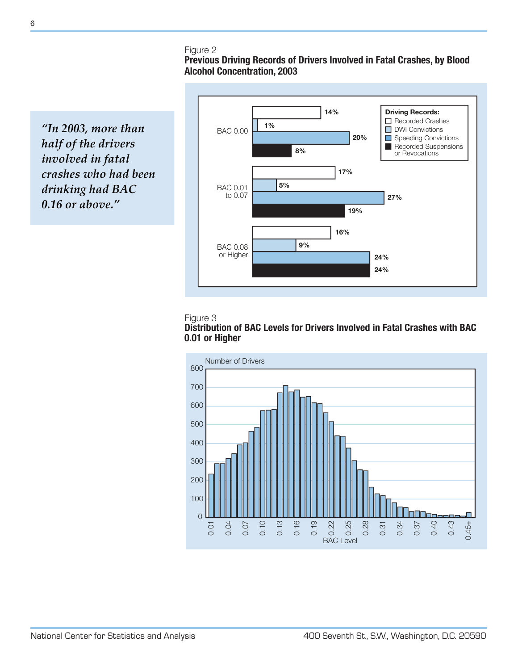#### Figure 2

## **Previous Driving Records of Drivers Involved in Fatal Crashes, by Blood Alcohol Concentration, 2003**

*"In 2003, more than half of the drivers involved in fatal crashes who had been drinking had BAC 0.16 or above."*







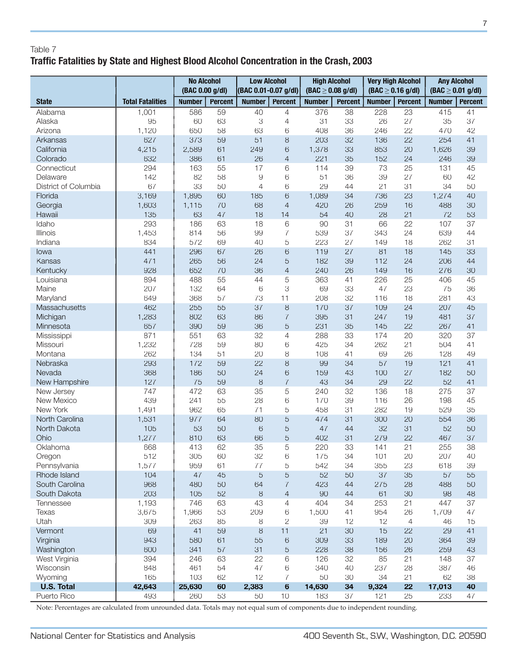## Table 7 **Traffic Fatalities by State and Highest Blood Alcohol Concentration in the Crash, 2003**

|                              |                         | <b>No Alcohol</b><br>(BAC 0.00 g/dl) |                |                | <b>Low Alcohol</b><br>(BAC 0.01-0.07 g/dl) |               | <b>High Alcohol</b><br>$(BAC \geq 0.08$ g/dl) |               | <b>Very High Alcohol</b><br>(BAC $\geq$ 0.16 g/dl) | <b>Any Alcohol</b><br>(BAC $\geq$ 0.01 g/dl) |                |
|------------------------------|-------------------------|--------------------------------------|----------------|----------------|--------------------------------------------|---------------|-----------------------------------------------|---------------|----------------------------------------------------|----------------------------------------------|----------------|
| <b>State</b>                 | <b>Total Fatalities</b> | <b>Number</b>                        | <b>Percent</b> | <b>Number</b>  | <b>Percent</b>                             | <b>Number</b> | <b>Percent</b>                                | <b>Number</b> | <b>Percent</b>                                     | <b>Number</b>                                | <b>Percent</b> |
| Alabama                      | 1,001                   | 586                                  | 59             | 40             | 4                                          | 376           | 38                                            | 228           | 23                                                 | 415                                          | 41             |
| Alaska                       | 95                      | 60                                   | 63             | 3              | 4                                          | 31            | 33                                            | 26            | 27                                                 | 35                                           | 37             |
| Arizona                      | 1,120                   | 650                                  | 58             | 63             | 6                                          | 408           | 36                                            | 246           | 22                                                 | 470                                          | 42             |
| Arkansas                     | 627                     | 373                                  | 59             | 51             | 8                                          | 203           | 32                                            | 136           | 22                                                 | 254                                          | 41             |
| California                   | 4,215                   | 2,589                                | 61             | 249            | 6                                          | 1,378         | 33                                            | 853           | 20                                                 | 1,626                                        | 39             |
| Colorado                     | 632                     | 386                                  | 61             | 26             | $\overline{4}$                             | 221           | 35                                            | 152           | 24                                                 | 246                                          | 39             |
| Connecticut                  | 294                     | 163                                  | 55             | 17             | 6                                          | 114           | 39                                            | 73            | 25                                                 | 131                                          | 45             |
| Delaware                     | 142                     | 82                                   | 58             | $\overline{9}$ | 6                                          | 51            | 36                                            | 39            | 27                                                 | 60                                           | 42             |
| District of Columbia         | 67                      | 33                                   | 50             | $\overline{4}$ | 6                                          | 29            | 44                                            | 21            | 31                                                 | 34                                           | 50             |
| Florida                      | 3,169                   | 1,895                                | 60             | 185            | 6                                          | 1,089         | 34                                            | 736           | 23                                                 | 1,274                                        | 40             |
| Georgia                      | 1,603                   | 1,115                                | 70             | 68             | $\overline{4}$                             | 420           | 26                                            | 259           | 16                                                 | 488                                          | 30             |
| Hawaii                       | 135                     | 63                                   | 47             | 18             | 14                                         | 54            | 40                                            | 28            | 21                                                 | 72                                           | 53             |
| Idaho                        | 293                     | 186                                  | 63             | 18             | 6                                          | 90            | 31                                            | 66            | 22                                                 | 107                                          | 37             |
| Illinois                     | 1,453                   | 814                                  | 56             | 99             | 7                                          | 539           | 37                                            | 343           | 24                                                 | 639                                          | 44             |
| Indiana                      | 834                     | 572                                  | 69             | 40             | 5                                          | 223           | 27                                            | 149           | 18                                                 | 262                                          | 31             |
| lowa                         | 441                     | 296                                  | 67             | 26             | 6                                          | 119           | 27                                            | 81            | 18                                                 | 145                                          | 33             |
| Kansas                       | 471                     | 265                                  | 56             | 24             | 5                                          | 182           | 39                                            | 112           | 24                                                 | 206                                          | 44             |
| Kentucky                     | 928                     | 652                                  | 70             | 36             | $\overline{4}$                             | 240           | 26                                            | 149           | 16                                                 | 276                                          | 30             |
| Louisiana                    | 894                     | 488                                  | 55             | 44             | 5                                          | 363           | 41                                            | 226           | 25                                                 | 406                                          | 45             |
| Maine                        | 207                     | 132                                  | 64             | 6              | 3                                          | 69            | 33                                            | 47            | 23                                                 | 75                                           | 36             |
| Maryland                     | 649                     | 368                                  | 57             | 73             | 11                                         | 208           | 32                                            | 116           | 18                                                 | 281                                          | 43             |
| Massachusetts                | 462                     | 255                                  | 55             | 37             | $\,8\,$                                    | 170           | 37                                            | 109           | 24                                                 | 207                                          | 45             |
| Michigan                     | 1,283<br>657            | 802<br>390                           | 63<br>59       | 86<br>36       | $\overline{7}$                             | 395<br>231    | 31<br>35                                      | 247<br>145    | 19<br>22                                           | 481<br>267                                   | 37<br>41       |
| Minnesota                    | 871                     | 551                                  | 63             | 32             | 5<br>4                                     | 288           | 33                                            | 174           | 20                                                 | 320                                          | 37             |
| Mississippi<br>Missouri      | 1,232                   | 728                                  | 59             | 80             | 6                                          | 425           | 34                                            | 262           | 21                                                 | 504                                          | 41             |
| Montana                      | 262                     | 134                                  | 51             | 20             | 8                                          | 108           | 41                                            | 69            | 26                                                 | 128                                          | 49             |
| Nebraska                     | 293                     | 172                                  | 59             | 22             | 8                                          | 99            | 34                                            | 57            | 19                                                 | 121                                          | 41             |
| Nevada                       | 368                     | 186                                  | 50             | 24             | 6                                          | 159           | 43                                            | 100           | 27                                                 | 182                                          | 50             |
| New Hampshire                | 127                     | 75                                   | 59             | 8              | $\overline{7}$                             | 43            | 34                                            | 29            | 22                                                 | 52                                           | 41             |
| New Jersey                   | 747                     | 472                                  | 63             | 35             | 5                                          | 240           | 32                                            | 136           | 18                                                 | 275                                          | 37             |
| New Mexico                   | 439                     | 241                                  | 55             | 28             | 6                                          | 170           | 39                                            | 116           | 26                                                 | 198                                          | 45             |
| New York                     | 1,491                   | 962                                  | 65             | 71             | 5                                          | 458           | 31                                            | 282           | 19                                                 | 529                                          | 35             |
| North Carolina               | 1,531                   | 977                                  | 64             | 80             | 5                                          | 474           | 31                                            | 300           | 20                                                 | 554                                          | 36             |
| North Dakota                 | 105                     | 53                                   | 50             | $\,$ 6 $\,$    | 5                                          | 47            | 44                                            | 32            | 31                                                 | 52                                           | 50             |
| Ohio                         | 1,277                   | 810                                  | 63             | 66             | 5                                          | 402           | 31                                            | 279           | 22                                                 | 467                                          | 37             |
| Oklahoma                     | 668                     | 413                                  | 62             | 35             | ς                                          | 220           | 33                                            | 141           | 21                                                 | 255                                          | 38             |
| Oregon                       | 512                     | 305                                  | 60             | 32             | 6                                          | 175           | 34                                            | 101           | 20                                                 | 207                                          | 40             |
| Pennsylvania                 | 1,577                   | 959                                  | 61             | 77             | 5                                          | 542           | 34                                            | 355           | 23                                                 | 618                                          | 39             |
| Rhode Island                 | 104                     | 47                                   | 45             | 5              | 5                                          | 52            | 50                                            | 37            | 35                                                 | 57                                           | 55             |
| South Carolina               | 968                     | 480                                  | 50             | 64             | $\overline{7}$                             | 423           | 44                                            | 275           | 28                                                 | 488                                          | 50             |
| South Dakota                 | 203                     | 105                                  | 52             | 8              | $\overline{4}$                             | 90            | 44                                            | 61            | 30                                                 | 98                                           | 48             |
| Tennessee                    | 1,193                   | 746                                  | 63             | 43             | 4                                          | 404           | 34                                            | 253           | 21                                                 | 447                                          | 37             |
| <b>Texas</b>                 | 3,675                   | 1,966                                | 53             | 209            | 6                                          | 1,500         | 41                                            | 954           | 26                                                 | 1,709                                        | 47             |
| Utah                         | 309                     | 263                                  | 85             | 8              | $\mathbf{2}$                               | 39            | 12                                            | 12            | 4                                                  | 46                                           | 15             |
| Vermont                      | 69                      | 41                                   | 59             | $\,8\,$        | 11                                         | 21            | 30                                            | 15            | 22                                                 | 29                                           | 41             |
| Virginia                     | 943                     | 580                                  | 61             | 55             | 6                                          | 309           | 33                                            | 189           | 20                                                 | 364                                          | 39             |
| Washington                   | 600                     | 341                                  | 57             | 31             | $\mathbf 5$                                | 228           | 38                                            | 156           | 26                                                 | 259                                          | 43             |
| West Virginia                | 394<br>848              | 246<br>461                           | 63<br>54       | 22<br>47       | 6                                          | 126<br>340    | 32<br>40                                      | 85<br>237     | 21<br>28                                           | 148<br>387                                   | 37<br>46       |
| Wisconsin                    | 165                     | 103                                  | 62             | 12             | 6<br>7                                     | 50            | 30                                            | 34            | 21                                                 | 62                                           | 38             |
| Wyoming<br><b>U.S. Total</b> | 42,643                  | 25,630                               | 60             | 2,383          | $6\phantom{1}$                             | 14,630        | 34                                            | 9,324         | 22                                                 | 17,013                                       | 40             |
| Puerto Rico                  | 493                     | 260                                  | 53             | 50             | 10                                         | 183           | 37                                            | 121           | 25                                                 | 233                                          | 47             |

Note: Percentages are calculated from unrounded data. Totals may not equal sum of components due to independent rounding.